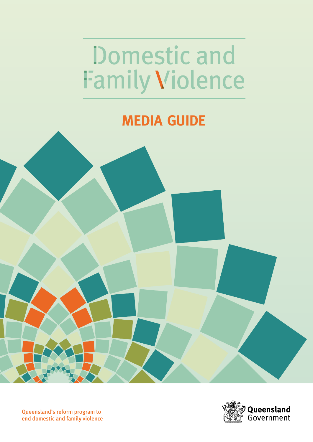# **Domestic and Family Violence**

# **MEDIA GUIDE**

Queensland's reform program to end domestic and family violence

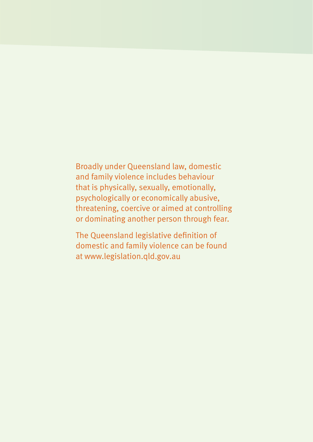Broadly under Queensland law, domestic and family violence includes behaviour that is physically, sexually, emotionally, psychologically or economically abusive, threatening, coercive or aimed at controlling or dominating another person through fear.

The Queensland legislative definition of domestic and family violence can be found at [www.legislation.qld.gov.au](https://www.legislation.qld.gov.au/view/html/inforce/current/act-2012-005#sec.8)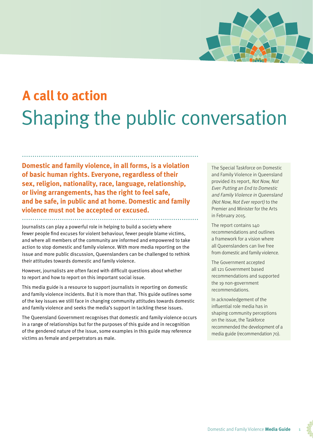# **A call to action** Shaping the public conversation

**Domestic and family violence, in all forms, is a violation of basic human rights. Everyone, regardless of their sex, religion, nationality, race, language, relationship, or living arrangements, has the right to feel safe, and be safe, in public and at home. Domestic and family violence must not be accepted or excused.**

Journalists can play a powerful role in helping to build a society where fewer people find excuses for violent behaviour, fewer people blame victims, and where all members of the community are informed and empowered to take action to stop domestic and family violence. With more media reporting on the issue and more public discussion, Queenslanders can be challenged to rethink their attitudes towards domestic and family violence.

However, journalists are often faced with difficult questions about whether to report and how to report on this important social issue.

This media guide is a resource to support journalists in reporting on domestic and family violence incidents. But it is more than that. This guide outlines some of the key issues we still face in changing community attitudes towards domestic and family violence and seeks the media's support in tackling these issues.

The Queensland Government recognises that domestic and family violence occurs in a range of relationships but for the purposes of this guide and in recognition of the gendered nature of the issue, some examples in this guide may reference victims as female and perpetrators as male.

The Special Taskforce on Domestic and Family Violence in Queensland provided its report, Not Now, Not Ever: Putting an End to Domestic and Family Violence in Queensland (Not Now, Not Ever report) to the Premier and Minister for the Arts in February 2015.

The report contains 140 recommendations and outlines a framework for a vision where all Queenslanders can live free from domestic and family violence.

The Government accepted all 121 Government based recommendations and supported the 19 non-government recommendations.

In acknowledgement of the influential role media has in shaping community perceptions on the issue, the Taskforce recommended the development of a media guide (recommendation 70).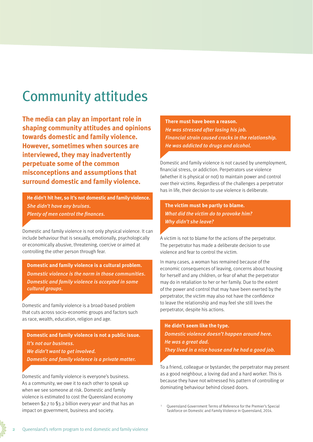# Community attitudes

**The media can play an important role in shaping community attitudes and opinions towards domestic and family violence. However, sometimes when sources are interviewed, they may inadvertently perpetuate some of the common misconceptions and assumptions that surround domestic and family violence.**

**He didn't hit her, so it's not domestic and family violence.**  *She didn't have any bruises. Plenty of men control the finances.*

Domestic and family violence is not only physical violence. It can include behaviour that is sexually, emotionally, psychologically or economically abusive, threatening, coercive or aimed at controlling the other person through fear.

**Domestic and family violence is a cultural problem.** *Domestic violence is the norm in those communities. Domestic and family violence is accepted in some cultural groups.*

Domestic and family violence is a broad-based problem that cuts across socio-economic groups and factors such as race, wealth, education, religion and age.

**Domestic and family violence is not a public issue.** *It's not our business. We didn't want to get involved. Domestic and family violence is a private matter.*

Domestic and family violence is everyone's business. As a community, we owe it to each other to speak up when we see someone at risk. Domestic and family violence is estimated to cost the Queensland economy between \$2.7 to \$3.2 billion every year<sup>1</sup> and that has an impact on government, business and society.

**There must have been a reason.** *He was stressed after losing his job. Financial strain caused cracks in the relationship. He was addicted to drugs and alcohol.*

Domestic and family violence is not caused by unemployment, financial stress, or addiction. Perpetrators use violence (whether it is physical or not) to maintain power and control over their victims. Regardless of the challenges a perpetrator has in life, their decision to use violence is deliberate.

**The victim must be partly to blame.** *What did the victim do to provoke him? Why didn't she leave?*

A victim is not to blame for the actions of the perpetrator. The perpetrator has made a deliberate decision to use violence and fear to control the victim.

In many cases, a woman has remained because of the economic consequences of leaving, concerns about housing for herself and any children, or fear of what the perpetrator may do in retaliation to her or her family. Due to the extent of the power and control that may have been exerted by the perpetrator, the victim may also not have the confidence to leave the relationship and may feel she still loves the perpetrator, despite his actions.

**He didn't seem like the type.**  *Domestic violence doesn't happen around here. He was a great dad. They lived in a nice house and he had a good job.* 

To a friend, colleague or bystander, the perpetrator may present as a good neighbour, a loving dad and a hard worker. This is because they have not witnessed his pattern of controlling or dominating behaviour behind closed doors.

<sup>1</sup> Queensland Government Terms of Reference for the Premier's Special Taskforce on Domestic and Family Violence in Queensland, 2014.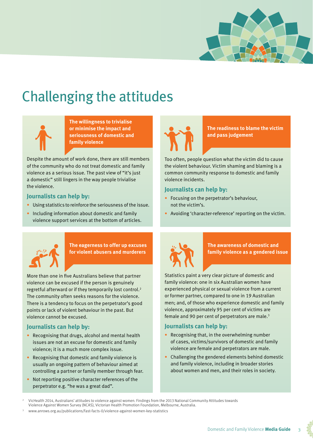

# Challenging the attitudes



**The willingness to trivialise or minimise the impact and seriousness of domestic and family violence**

Despite the amount of work done, there are still members of the community who do not treat domestic and family violence as a serious issue. The past view of "it's just a domestic" still lingers in the way people trivialise the violence.

### **Journalists can help by:**

- Using statistics to reinforce the seriousness of the issue.
- Including information about domestic and family violence support services at the bottom of articles.



**The readiness to blame the victim and pass judgement**

Too often, people question what the victim did to cause the violent behaviour. Victim shaming and blaming is a common community response to domestic and family violence incidents.

### **Journalists can help by:**

- Focusing on the perpetrator's behaviour, not the victim's.
- Avoiding 'character-reference' reporting on the victim.



**The eagerness to offer up excuses for violent abusers and murderers**

More than one in five Australians believe that partner violence can be excused if the person is genuinely regretful afterward or if they temporarily lost control.<sup>2</sup> The community often seeks reasons for the violence. There is a tendency to focus on the perpetrator's good points or lack of violent behaviour in the past. But violence cannot be excused.

### **Journalists can help by:**

- Recognising that drugs, alcohol and mental health issues are not an excuse for domestic and family violence; it is a much more complex issue.
- Recognising that domestic and family violence is usually an ongoing pattern of behaviour aimed at controlling a partner or family member through fear.
- Not reporting positive character references of the perpetrator e.g. "he was a great dad".



**The awareness of domestic and family violence as a gendered issue**

Statistics paint a very clear picture of domestic and family violence: one in six Australian women have experienced physical or sexual violence from a current or former partner, compared to one in 19 Australian men; and, of those who experience domestic and family violence, approximately 95 per cent of victims are female and 90 per cent of perpetrators are male.3

### **Journalists can help by:**

- Recognising that, in the overwhelming number of cases, victims/survivors of domestic and family violence are female and perpetrators are male.
- Challenging the gendered elements behind domestic and family violence, including in broader stories about women and men, and their roles in society.

<sup>2</sup> VicHealth 2014, Australians' attitudes to violence against women. Findings from the 2013 National Community Attitudes towards Violence Against Women Survey (NCAS), Victorian Health Promotion Foundation, Melbourne, Australia.

<sup>3</sup> [www.anrows.org.au/publications/fast-facts-0/violence-against-women-key-statistics](http://www.anrows.org.au/publications/fast-facts-0/violence-against-women-key-statistics)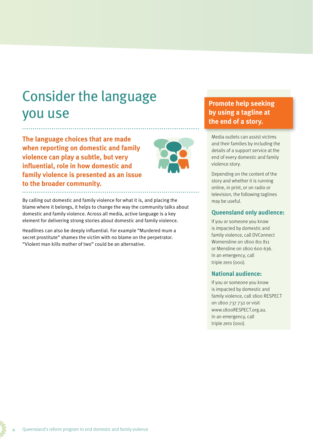# Consider the language you use

**The language choices that are made when reporting on domestic and family violence can play a subtle, but very influential, role in how domestic and family violence is presented as an issue to the broader community.**  



By calling out domestic and family violence for what it is, and placing the blame where it belongs, it helps to change the way the community talks about domestic and family violence. Across all media, active language is a key element for delivering strong stories about domestic and family violence.

Headlines can also be deeply influential. For example "Murdered mum a secret prostitute" shames the victim with no blame on the perpetrator. "Violent man kills mother of two" could be an alternative.

### **Promote help seeking by using a tagline at the end of a story.**

Media outlets can assist victims and their families by including the details of a support service at the end of every domestic and family violence story.

Depending on the content of the story and whether it is running online, in print, or on radio or television, the following taglines may be useful.

### **Queensland only audience:**

If you or someone you know is impacted by domestic and family violence, call DVConnect Womensline on 1800 811 811 or Mensline on 1800 600 636. In an emergency, call triple zero (000).

### **National audience:**

If you or someone you know is impacted by domestic and family violence, call 1800 RESPECT on 1800 737 732 or visit [www.1800RESPECT.org.au.](http://www.1800RESPECT.org.au) In an emergency, call triple zero (000).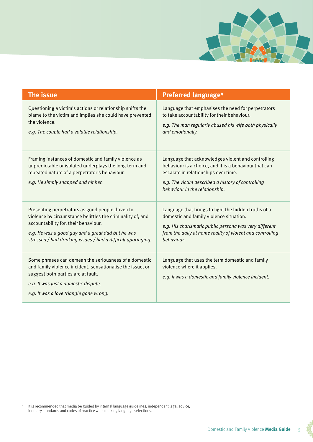

| The issue                                                                                                                                                                                                                                                                   | <b>Preferred language<sup>4</sup></b>                                                                                                                                                                                                       |
|-----------------------------------------------------------------------------------------------------------------------------------------------------------------------------------------------------------------------------------------------------------------------------|---------------------------------------------------------------------------------------------------------------------------------------------------------------------------------------------------------------------------------------------|
| Questioning a victim's actions or relationship shifts the<br>blame to the victim and implies she could have prevented<br>the violence.<br>e.g. The couple had a volatile relationship.                                                                                      | Language that emphasises the need for perpetrators<br>to take accountability for their behaviour.<br>e.g. The man regularly abused his wife both physically<br>and emotionally.                                                             |
| Framing instances of domestic and family violence as<br>unpredictable or isolated underplays the long-term and<br>repeated nature of a perpetrator's behaviour.<br>e.g. He simply snapped and hit her.                                                                      | Language that acknowledges violent and controlling<br>behaviour is a choice, and it is a behaviour that can<br>escalate in relationships over time.<br>e.g. The victim described a history of controlling<br>behaviour in the relationship. |
| Presenting perpetrators as good people driven to<br>violence by circumstance belittles the criminality of, and<br>accountability for, their behaviour.<br>e.g. He was a good guy and a great dad but he was<br>stressed / had drinking issues / had a difficult upbringing. | Language that brings to light the hidden truths of a<br>domestic and family violence situation.<br>e.g. His charismatic public persona was very different<br>from the daily at home reality of violent and controlling<br>behaviour.        |
| Some phrases can demean the seriousness of a domestic<br>and family violence incident, sensationalise the issue, or<br>suggest both parties are at fault.<br>e.g. It was just a domestic dispute.<br>e.g. It was a love triangle gone wrong.                                | Language that uses the term domestic and family<br>violence where it applies.<br>e.g. It was a domestic and family violence incident.                                                                                                       |

<sup>4</sup> It is recommended that media be guided by internal language guidelines, independent legal advice, industry standards and codes of practice when making language selections.

香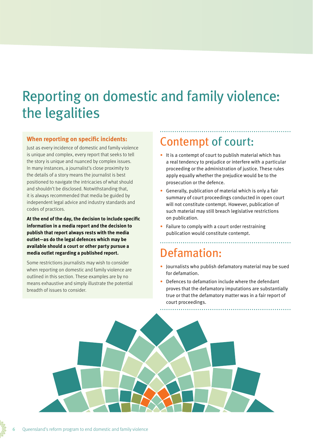# Reporting on domestic and family violence: the legalities

### **When reporting on specific incidents:**

Just as every incidence of domestic and family violence is unique and complex, every report that seeks to tell the story is unique and nuanced by complex issues. In many instances, a journalist's close proximity to the details of a story means the journalist is best positioned to navigate the intricacies of what should and shouldn't be disclosed. Notwithstanding that, it is always recommended that media be guided by independent legal advice and industry standards and codes of practices.

**At the end of the day, the decision to include specific information in a media report and the decision to publish that report always rests with the media outlet—as do the legal defences which may be available should a court or other party pursue a media outlet regarding a published report.**

Some restrictions journalists may wish to consider when reporting on domestic and family violence are outlined in this section. These examples are by no means exhaustive and simply illustrate the potential breadth of issues to consider.

## Contempt of court:

• It is a contempt of court to publish material which has a real tendency to prejudice or interfere with a particular proceeding or the administration of justice. These rules apply equally whether the prejudice would be to the prosecution or the defence.

- Generally, publication of material which is only a fair summary of court proceedings conducted in open court will not constitute contempt. However, publication of such material may still breach legislative restrictions on publication.
- Failure to comply with a court order restraining publication would constitute contempt.

## Defamation:

• Journalists who publish defamatory material may be sued for defamation.

• Defences to defamation include where the defendant proves that the defamatory imputations are substantially true or that the defamatory matter was in a fair report of court proceedings.

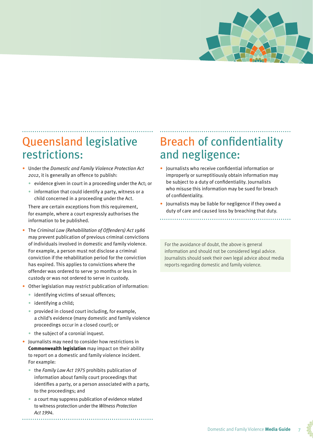

## Queensland legislative restrictions:

- Under the *Domestic and Family Violence Protection Act 2012*, it is generally an offence to publish:
	- evidence given in court in a proceeding under the Act; or
	- information that could identify a party, witness or a child concerned in a proceeding under the Act.

There are certain exceptions from this requirement, for example, where a court expressly authorises the information to be published.

- The *Criminal Law (Rehabilitation of Offenders) Act 1986* may prevent publication of previous criminal convictions of individuals involved in domestic and family violence. For example, a person must not disclose a criminal conviction if the rehabilitation period for the conviction has expired. This applies to convictions where the offender was ordered to serve 30 months or less in custody or was not ordered to serve in custody.
- Other legislation may restrict publication of information:
	- identifying victims of sexual offences;
	- identifying a child:
	- provided in closed court including, for example, a child's evidence (many domestic and family violence proceedings occur in a closed court); or
	- the subiect of a coronial inquest.
- Journalists may need to consider how restrictions in **Commonwealth legislation** may impact on their ability to report on a domestic and family violence incident. For example:
	- the *Family Law Act 1975* prohibits publication of information about family court proceedings that identifies a party, or a person associated with a party, to the proceedings; and
	- a court may suppress publication of evidence related to witness protection under the *Witness Protection Act 1994.*

## Breach of confidentiality and negligence:

- Journalists who receive confidential information or improperly or surreptitiously obtain information may be subject to a duty of confidentiality. Journalists who misuse this information may be sued for breach of confidentiality.
- Journalists may be liable for negligence if they owed a duty of care and caused loss by breaching that duty.

For the avoidance of doubt, the above is general information and should not be considered legal advice. Journalists should seek their own legal advice about media reports regarding domestic and family violence.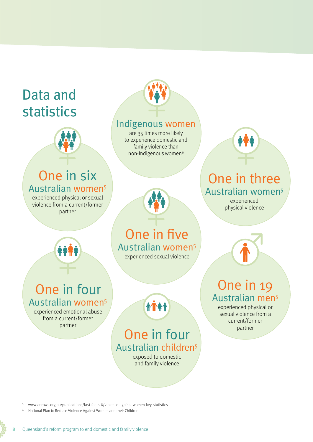# Data and statistics



# One in six

## Australian women5

experienced physical or sexual violence from a current/former partner

## Indigenous women

are 35 times more likely to experience domestic and family violence than non-Indigenous women<sup>6</sup>



### Australian women5 experienced physical violence

## One in five Australian women5

experienced sexual violence

One in three

**AT1** 

## One in 19 Australian men5

experienced physical or sexual violence from a current/former

One in four Australian women5

experienced emotional abuse from a current/former partner



## One in four Australian children5

exposed to domestic and family violence

<sup>5</sup> [www.anrows.org.au/publications/fast-facts-0/violence-against-women-key-statistics](http://www.anrows.org.au/publications/fast-facts-0/violence-against-women-key-statistics)

National Plan to Reduce Violence Against Women and their Children.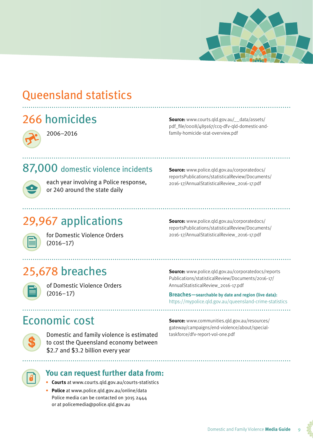

## Queensland statistics

## 266 homicides



2006–2016

**Source:** [www.courts.qld.gov.au/\\_\\_data/assets/](http://www.courts.qld.gov.au/__data/assets/pdf_file/0008/489167/ccq-dfv-qld-domestic-and-family-homicide-stat-overview.pdf) [pdf\\_file/0008/489167/ccq-dfv-qld-domestic-and](http://www.courts.qld.gov.au/__data/assets/pdf_file/0008/489167/ccq-dfv-qld-domestic-and-family-homicide-stat-overview.pdf)[family-homicide-stat-overview.pdf](http://www.courts.qld.gov.au/__data/assets/pdf_file/0008/489167/ccq-dfv-qld-domestic-and-family-homicide-stat-overview.pdf)

## 87,000 domestic violence incidents



each year involving a Police response, or 240 around the state daily

**Source:** [www.police.qld.gov.au/corporatedocs/](http://www.police.qld.gov.au/corporatedocs/reportsPublications/statisticalReview/Documents/2016-17/AnnualStatisticalReview_2016-17.pdf) [reportsPublications/statisticalReview/Documents/](http://www.police.qld.gov.au/corporatedocs/reportsPublications/statisticalReview/Documents/2016-17/AnnualStatisticalReview_2016-17.pdf) [2016-17/AnnualStatisticalReview\\_2016-17.pdf](http://www.police.qld.gov.au/corporatedocs/reportsPublications/statisticalReview/Documents/2016-17/AnnualStatisticalReview_2016-17.pdf) 

## 29,967 applications



for Domestic Violence Orders (2016–17)

**Source:** [www.police.qld.gov.au/corporatedocs/](http://www.police.qld.gov.au/corporatedocs/reportsPublications/statisticalReview/Documents/2016-17/AnnualStatisticalReview_2016-17.pdf) [reportsPublications/statisticalReview/Documents/](http://www.police.qld.gov.au/corporatedocs/reportsPublications/statisticalReview/Documents/2016-17/AnnualStatisticalReview_2016-17.pdf) [2016-17/AnnualStatisticalReview\\_2016-17.pdf](http://www.police.qld.gov.au/corporatedocs/reportsPublications/statisticalReview/Documents/2016-17/AnnualStatisticalReview_2016-17.pdf) 

## 25,678 breaches



of Domestic Violence Orders  $(2016 - 17)$ 

**Source:** [www.police.qld.gov.au/corporatedocs/reports](http://www.police.qld.gov.au/corporatedocs/reportsPublications/statisticalReview/Documents/2016-17/AnnualStatisticalReview_2016-17.pdf) [Publications/statisticalReview/Documents/2016-17/](http://www.police.qld.gov.au/corporatedocs/reportsPublications/statisticalReview/Documents/2016-17/AnnualStatisticalReview_2016-17.pdf) [AnnualStatisticalReview\\_2016-17.pdf](http://www.police.qld.gov.au/corporatedocs/reportsPublications/statisticalReview/Documents/2016-17/AnnualStatisticalReview_2016-17.pdf) 

**Breaches—searchable by date and region (live data):** https:/[/mypolice.qld.gov.au/queensland-crime-statistics](https://mypolice.qld.gov.au/queensland-crime-statistics/)

## Economic cost



Domestic and family violence is estimated to cost the Queensland economy between \$2.7 and \$3.2 billion every year

**Source:** [www.communities.qld.gov.au/resources/](http://www.communities.qld.gov.au/resources/gateway/campaigns/end-violence/about/special-taskforce/dfv-report-vol-one.pdf) [gateway/campaigns/end-violence/about/special](http://www.communities.qld.gov.au/resources/gateway/campaigns/end-violence/about/special-taskforce/dfv-report-vol-one.pdf)[taskforce/dfv-report-vol-one.pdf](http://www.communities.qld.gov.au/resources/gateway/campaigns/end-violence/about/special-taskforce/dfv-report-vol-one.pdf) 



- **You can request further data from:**
- **Courts** at [www.courts.qld.gov.au/courts-statistics](http://www.courts.qld.gov.au/court-users/researchers-and-public/courts-statistics)
- **Police** at <www.police.qld.gov.au/online/data> Police media can be contacted on 3015 2444 or at [policemedia@police.qld.gov.au](mailto:policemedia@police.qld.gov.au)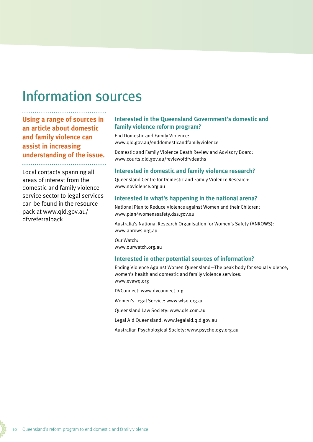## Information sources

**Using a range of sources in an article about domestic and family violence can assist in increasing understanding of the issue.**

Local contacts spanning all areas of interest from the domestic and family violence service sector to legal services can be found in the resource pack at [www.qld.gov.au/](https://www.communities.qld.gov.au/resources/gateway/campaigns/end-violence/dfv-referral-pack.pdf) [dfvreferralpack](https://www.communities.qld.gov.au/resources/gateway/campaigns/end-violence/dfv-referral-pack.pdf)

### **Interested in the Queensland Government's domestic and family violence reform program?**

End Domestic and Family Violence: [www.qld.gov.au/enddomesticandfamilyviolence](https://www.communities.qld.gov.au/gateway/end-domestic-family-violence)

Domestic and Family Violence Death Review and Advisory Board: [www.courts.qld.gov.au](http://www.courts.qld.gov.au/courts/coroners-court/review-of-deaths-from-domestic-and-family-violence)/reviewofdfvdeaths

### **Interested in domestic and family violence research?**

Queensland Centre for Domestic and Family Violence Research: www[.noviolence.org.au](https://noviolence.org.au/)

### **Interested in what's happening in the national arena?**

National Plan to Reduce Violence against Women and their Children: [www.plan4womenssafety.dss.gov.au](http://plan4womenssafety.dss.gov.au/)

Australia's National Research Organisation for Women's Safety (ANROWS): [www.anrows.org.au](https://anrows.org.au/)

Our Watch: [www.ourwatch.org.au](https://www.ourwatch.org.au/)

### **Interested in other potential sources of information?**

Ending Violence Against Women Queensland—The peak body for sexual violence, women's health and domestic and family violence services: [www.evawq.org](https://www.evawq.org/)

DVConnect: [www.dvconnect.org](https://www.dvconnect.org/)

Women's Legal Service: [www.wlsq.org.au](https://www.wlsq.org.au/)

Queensland Law Society: [www.qls.com.au](http://www.qls.com.au/Home)

Legal Aid Queensland: [www.legalaid.qld.gov.au](http://www.legalaid.qld.gov.au/Home)

Australian Psychological Society: [www.psychology.org.au](http://www.psychology.org.au/)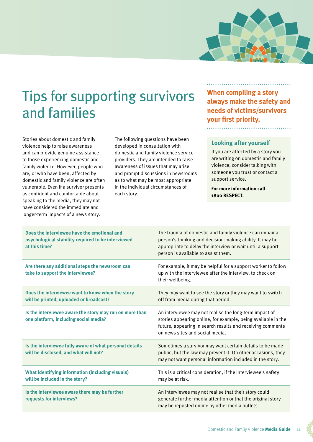

# Tips for supporting survivors and families

Stories about domestic and family violence help to raise awareness and can provide genuine assistance to those experiencing domestic and family violence. However, people who are, or who have been, affected by domestic and family violence are often vulnerable. Even if a survivor presents as confident and comfortable about speaking to the media, they may not have considered the immediate and longer-term impacts of a news story.

The following questions have been developed in consultation with domestic and family violence service providers. They are intended to raise awareness of issues that may arise and prompt discussions in newsrooms as to what may be most appropriate in the individual circumstances of each story.

**When compiling a story always make the safety and needs of victims/survivors your first priority.** 

### **Looking after yourself**

If you are affected by a story you are writing on domestic and family violence, consider talking with someone you trust or contact a support service.

**For more information call 1800 RESPECT.**

| Does the interviewee have the emotional and<br>psychological stability required to be interviewed<br>at this time? | The trauma of domestic and family violence can impair a<br>person's thinking and decision-making ability. It may be<br>appropriate to delay the interview or wait until a support<br>person is available to assist them. |
|--------------------------------------------------------------------------------------------------------------------|--------------------------------------------------------------------------------------------------------------------------------------------------------------------------------------------------------------------------|
| Are there any additional steps the newsroom can<br>take to support the interviewee?                                | For example, it may be helpful for a support worker to follow<br>up with the interviewee after the interview, to check on<br>their wellbeing.                                                                            |
| Does the interviewee want to know when the story<br>will be printed, uploaded or broadcast?                        | They may want to see the story or they may want to switch<br>off from media during that period.                                                                                                                          |
| Is the interviewee aware the story may run on more than<br>one platform, including social media?                   | An interviewee may not realise the long-term impact of<br>stories appearing online, for example, being available in the<br>future, appearing in search results and receiving comments<br>on news sites and social media. |
| Is the interviewee fully aware of what personal details<br>will be disclosed, and what will not?                   | Sometimes a survivor may want certain details to be made<br>public, but the law may prevent it. On other occasions, they<br>may not want personal information included in the story.                                     |
| <b>What identifying information (including visuals)</b><br>will be included in the story?                          | This is a critical consideration, if the interviewee's safety<br>may be at risk.                                                                                                                                         |
| Is the interviewee aware there may be further<br>requests for interviews?                                          | An interviewee may not realise that their story could<br>generate further media attention or that the original story<br>may be reposted online by other media outlets.                                                   |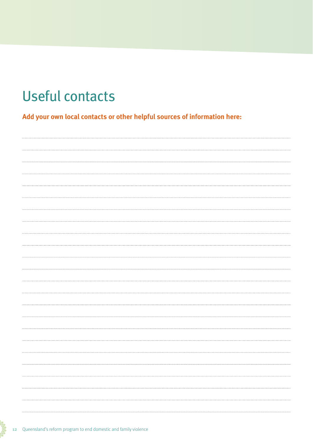# Useful contacts

**Add your own local contacts or other helpful sources of information here:**

| . |
|---|
|   |
|   |
|   |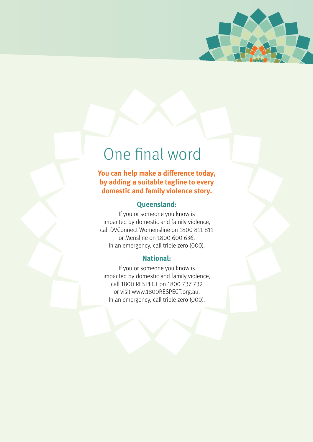

# One final word

### **You can help make a difference today, by adding a suitable tagline to every domestic and family violence story.**

### **Queensland:**

If you or someone you know is impacted by domestic and family violence, call DVConnect Womensline on 1800 811 811 or Mensline on 1800 600 636. In an emergency, call triple zero (000).

### **National:**

If you or someone you know is impacted by domestic and family violence, call 1800 RESPECT on 1800 737 732 or visit [www.1800RESPECT.org.au.](https://www.1800respect.org.au/) In an emergency, call triple zero (000).